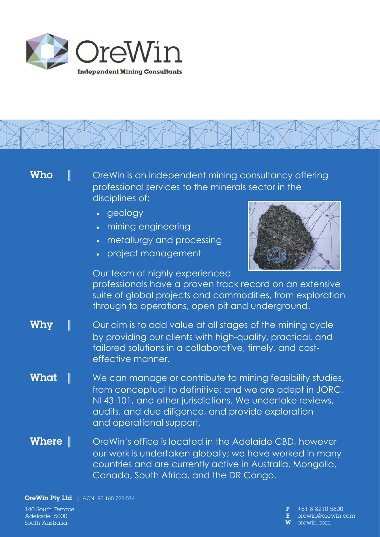



OreWin Pty Ltd **║** ACN 95 165 722 574

140 South Terrace Adelaide 5000 South Australia

 P +61 8 8210 5600 orewin@orewin.com W orewin.com